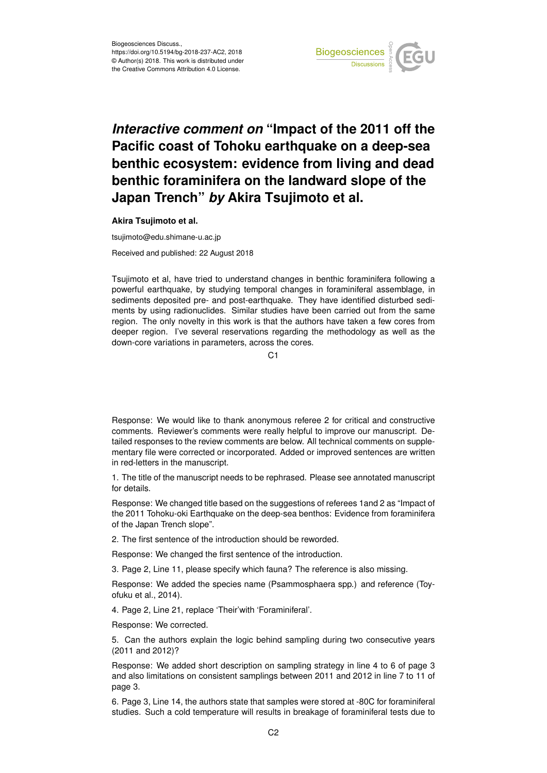

## *Interactive comment on* **"Impact of the 2011 off the Pacific coast of Tohoku earthquake on a deep-sea benthic ecosystem: evidence from living and dead benthic foraminifera on the landward slope of the Japan Trench"** *by* **Akira Tsujimoto et al.**

**Akira Tsujimoto et al.**

tsujimoto@edu.shimane-u.ac.jp Received and published: 22 August 2018

Tsujimoto et al, have tried to understand changes in benthic foraminifera following a powerful earthquake, by studying temporal changes in foraminiferal assemblage, in sediments deposited pre- and post-earthquake. They have identified disturbed sediments by using radionuclides. Similar studies have been carried out from the same region. The only novelty in this work is that the authors have taken a few cores from deeper region. I've several reservations regarding the methodology as well as the down-core variations in parameters, across the cores.

 $C<sub>1</sub>$ 

Response: We would like to thank anonymous referee 2 for critical and constructive comments. Reviewer's comments were really helpful to improve our manuscript. Detailed responses to the review comments are below. All technical comments on supplementary file were corrected or incorporated. Added or improved sentences are written in red-letters in the manuscript.

1. The title of the manuscript needs to be rephrased. Please see annotated manuscript for details.

Response: We changed title based on the suggestions of referees 1and 2 as "Impact of the 2011 Tohoku-oki Earthquake on the deep-sea benthos: Evidence from foraminifera of the Japan Trench slope".

2. The first sentence of the introduction should be reworded.

Response: We changed the first sentence of the introduction.

3. Page 2, Line 11, please specify which fauna? The reference is also missing.

Response: We added the species name (Psammosphaera spp.) and reference (Toyofuku et al., 2014).

4. Page 2, Line 21, replace 'Their'with 'Foraminiferal'.

Response: We corrected.

5. Can the authors explain the logic behind sampling during two consecutive years (2011 and 2012)?

Response: We added short description on sampling strategy in line 4 to 6 of page 3 and also limitations on consistent samplings between 2011 and 2012 in line 7 to 11 of page 3.

6. Page 3, Line 14, the authors state that samples were stored at -80C for foraminiferal studies. Such a cold temperature will results in breakage of foraminiferal tests due to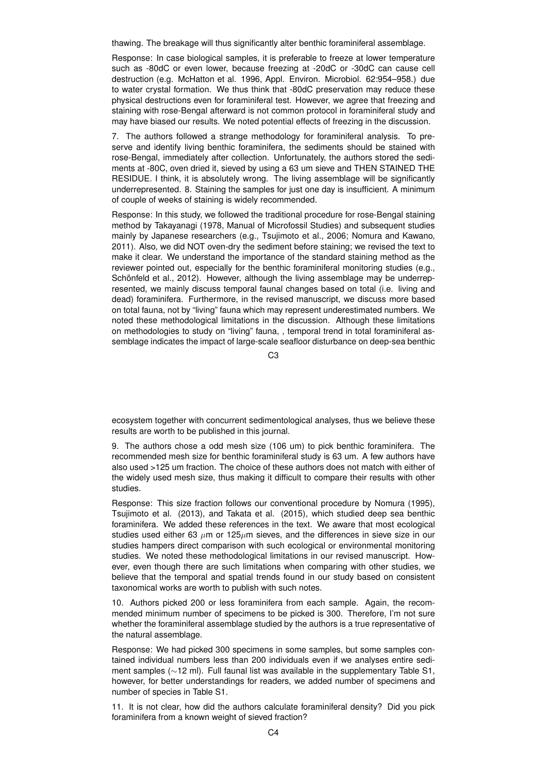thawing. The breakage will thus significantly alter benthic foraminiferal assemblage.

Response: In case biological samples, it is preferable to freeze at lower temperature such as -80dC or even lower, because freezing at -20dC or -30dC can cause cell destruction (e.g. McHatton et al. 1996, Appl. Environ. Microbiol. 62:954–958.) due to water crystal formation. We thus think that -80dC preservation may reduce these physical destructions even for foraminiferal test. However, we agree that freezing and staining with rose-Bengal afterward is not common protocol in foraminiferal study and may have biased our results. We noted potential effects of freezing in the discussion.

7. The authors followed a strange methodology for foraminiferal analysis. To preserve and identify living benthic foraminifera, the sediments should be stained with rose-Bengal, immediately after collection. Unfortunately, the authors stored the sediments at -80C, oven dried it, sieved by using a 63 um sieve and THEN STAINED THE RESIDUE. I think, it is absolutely wrong. The living assemblage will be significantly underrepresented. 8. Staining the samples for just one day is insufficient. A minimum of couple of weeks of staining is widely recommended.

Response: In this study, we followed the traditional procedure for rose-Bengal staining method by Takayanagi (1978, Manual of Microfossil Studies) and subsequent studies mainly by Japanese researchers (e.g., Tsujimoto et al., 2006; Nomura and Kawano, 2011). Also, we did NOT oven-dry the sediment before staining; we revised the text to make it clear. We understand the importance of the standard staining method as the reviewer pointed out, especially for the benthic foraminiferal monitoring studies (e.g., Schönfeld et al., 2012). However, although the living assemblage may be underrepresented, we mainly discuss temporal faunal changes based on total (i.e. living and dead) foraminifera. Furthermore, in the revised manuscript, we discuss more based on total fauna, not by "living" fauna which may represent underestimated numbers. We noted these methodological limitations in the discussion. Although these limitations on methodologies to study on "living" fauna, , temporal trend in total foraminiferal assemblage indicates the impact of large-scale seafloor disturbance on deep-sea benthic

 $C<sub>3</sub>$ 

ecosystem together with concurrent sedimentological analyses, thus we believe these results are worth to be published in this journal.

9. The authors chose a odd mesh size (106 um) to pick benthic foraminifera. The recommended mesh size for benthic foraminiferal study is 63 um. A few authors have also used >125 um fraction. The choice of these authors does not match with either of the widely used mesh size, thus making it difficult to compare their results with other studies.

Response: This size fraction follows our conventional procedure by Nomura (1995), Tsujimoto et al. (2013), and Takata et al. (2015), which studied deep sea benthic foraminifera. We added these references in the text. We aware that most ecological studies used either 63  $\mu$ m or 125 $\mu$ m sieves, and the differences in sieve size in our studies hampers direct comparison with such ecological or environmental monitoring studies. We noted these methodological limitations in our revised manuscript. However, even though there are such limitations when comparing with other studies, we believe that the temporal and spatial trends found in our study based on consistent taxonomical works are worth to publish with such notes.

10. Authors picked 200 or less foraminifera from each sample. Again, the recommended minimum number of specimens to be picked is 300. Therefore, I'm not sure whether the foraminiferal assemblage studied by the authors is a true representative of the natural assemblage.

Response: We had picked 300 specimens in some samples, but some samples contained individual numbers less than 200 individuals even if we analyses entire sediment samples (∼12 ml). Full faunal list was available in the supplementary Table S1, however, for better understandings for readers, we added number of specimens and number of species in Table S1.

11. It is not clear, how did the authors calculate foraminiferal density? Did you pick foraminifera from a known weight of sieved fraction?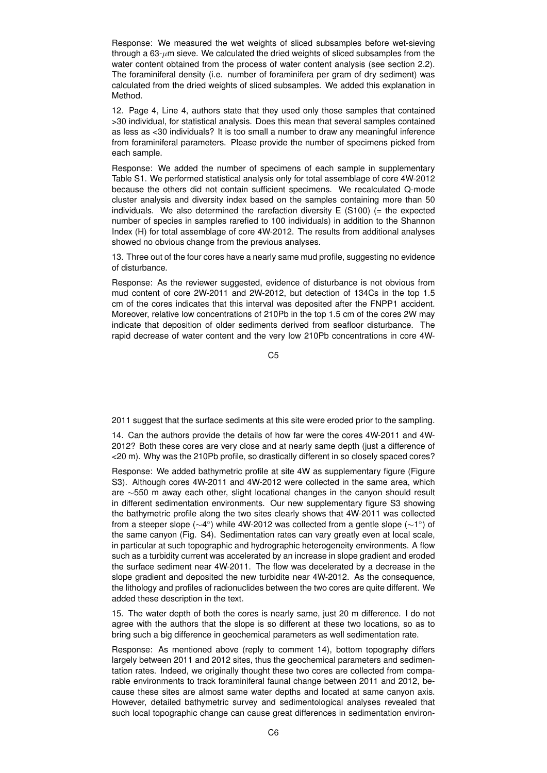Response: We measured the wet weights of sliced subsamples before wet-sieving through a 63- $\mu$ m sieve. We calculated the dried weights of sliced subsamples from the water content obtained from the process of water content analysis (see section 2.2). The foraminiferal density (i.e. number of foraminifera per gram of dry sediment) was calculated from the dried weights of sliced subsamples. We added this explanation in Method.

12. Page 4, Line 4, authors state that they used only those samples that contained >30 individual, for statistical analysis. Does this mean that several samples contained as less as <30 individuals? It is too small a number to draw any meaningful inference from foraminiferal parameters. Please provide the number of specimens picked from each sample.

Response: We added the number of specimens of each sample in supplementary Table S1. We performed statistical analysis only for total assemblage of core 4W-2012 because the others did not contain sufficient specimens. We recalculated Q-mode cluster analysis and diversity index based on the samples containing more than 50 individuals. We also determined the rarefaction diversity  $E(5100)$  (= the expected number of species in samples rarefied to 100 individuals) in addition to the Shannon Index (H) for total assemblage of core 4W-2012. The results from additional analyses showed no obvious change from the previous analyses.

13. Three out of the four cores have a nearly same mud profile, suggesting no evidence of disturbance.

Response: As the reviewer suggested, evidence of disturbance is not obvious from mud content of core 2W-2011 and 2W-2012, but detection of 134Cs in the top 1.5 cm of the cores indicates that this interval was deposited after the FNPP1 accident. Moreover, relative low concentrations of 210Pb in the top 1.5 cm of the cores 2W may indicate that deposition of older sediments derived from seafloor disturbance. The rapid decrease of water content and the very low 210Pb concentrations in core 4W-

C5

2011 suggest that the surface sediments at this site were eroded prior to the sampling.

14. Can the authors provide the details of how far were the cores 4W-2011 and 4W-2012? Both these cores are very close and at nearly same depth (just a difference of <20 m). Why was the 210Pb profile, so drastically different in so closely spaced cores?

Response: We added bathymetric profile at site 4W as supplementary figure (Figure S3). Although cores 4W-2011 and 4W-2012 were collected in the same area, which are ∼550 m away each other, slight locational changes in the canyon should result in different sedimentation environments. Our new supplementary figure S3 showing the bathymetric profile along the two sites clearly shows that 4W-2011 was collected from a steeper slope (∼4°) while 4W-2012 was collected from a gentle slope (∼1°) of the same canyon (Fig. S4). Sedimentation rates can vary greatly even at local scale, in particular at such topographic and hydrographic heterogeneity environments. A flow such as a turbidity current was accelerated by an increase in slope gradient and eroded the surface sediment near 4W-2011. The flow was decelerated by a decrease in the slope gradient and deposited the new turbidite near 4W-2012. As the consequence, the lithology and profiles of radionuclides between the two cores are quite different. We added these description in the text.

15. The water depth of both the cores is nearly same, just 20 m difference. I do not agree with the authors that the slope is so different at these two locations, so as to bring such a big difference in geochemical parameters as well sedimentation rate.

Response: As mentioned above (reply to comment 14), bottom topography differs largely between 2011 and 2012 sites, thus the geochemical parameters and sedimentation rates. Indeed, we originally thought these two cores are collected from comparable environments to track foraminiferal faunal change between 2011 and 2012, because these sites are almost same water depths and located at same canyon axis. However, detailed bathymetric survey and sedimentological analyses revealed that such local topographic change can cause great differences in sedimentation environ